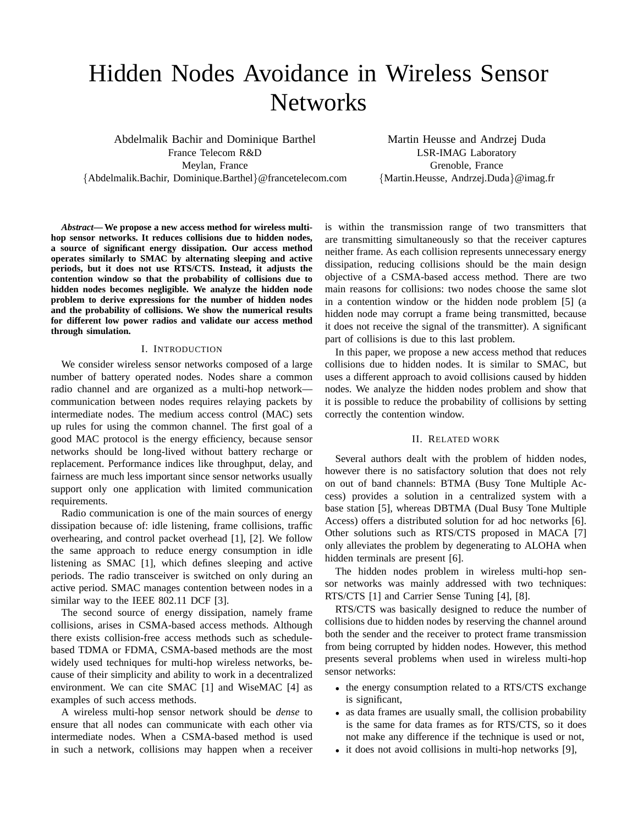# Hidden Nodes Avoidance in Wireless Sensor **Networks**

Abdelmalik Bachir and Dominique Barthel France Telecom R&D Meylan, France {Abdelmalik.Bachir, Dominique.Barthel}@francetelecom.com

Martin Heusse and Andrzej Duda LSR-IMAG Laboratory Grenoble, France {Martin.Heusse, Andrzej.Duda}@imag.fr

*Abstract***— We propose a new access method for wireless multihop sensor networks. It reduces collisions due to hidden nodes, a source of significant energy dissipation. Our access method operates similarly to SMAC by alternating sleeping and active periods, but it does not use RTS/CTS. Instead, it adjusts the contention window so that the probability of collisions due to hidden nodes becomes negligible. We analyze the hidden node problem to derive expressions for the number of hidden nodes and the probability of collisions. We show the numerical results for different low power radios and validate our access method through simulation.**

## I. INTRODUCTION

We consider wireless sensor networks composed of a large number of battery operated nodes. Nodes share a common radio channel and are organized as a multi-hop network communication between nodes requires relaying packets by intermediate nodes. The medium access control (MAC) sets up rules for using the common channel. The first goal of a good MAC protocol is the energy efficiency, because sensor networks should be long-lived without battery recharge or replacement. Performance indices like throughput, delay, and fairness are much less important since sensor networks usually support only one application with limited communication requirements.

Radio communication is one of the main sources of energy dissipation because of: idle listening, frame collisions, traffic overhearing, and control packet overhead [1], [2]. We follow the same approach to reduce energy consumption in idle listening as SMAC [1], which defines sleeping and active periods. The radio transceiver is switched on only during an active period. SMAC manages contention between nodes in a similar way to the IEEE 802.11 DCF [3].

The second source of energy dissipation, namely frame collisions, arises in CSMA-based access methods. Although there exists collision-free access methods such as schedulebased TDMA or FDMA, CSMA-based methods are the most widely used techniques for multi-hop wireless networks, because of their simplicity and ability to work in a decentralized environment. We can cite SMAC [1] and WiseMAC [4] as examples of such access methods.

A wireless multi-hop sensor network should be *dense* to ensure that all nodes can communicate with each other via intermediate nodes. When a CSMA-based method is used in such a network, collisions may happen when a receiver is within the transmission range of two transmitters that are transmitting simultaneously so that the receiver captures neither frame. As each collision represents unnecessary energy dissipation, reducing collisions should be the main design objective of a CSMA-based access method. There are two main reasons for collisions: two nodes choose the same slot in a contention window or the hidden node problem [5] (a hidden node may corrupt a frame being transmitted, because it does not receive the signal of the transmitter). A significant part of collisions is due to this last problem.

In this paper, we propose a new access method that reduces collisions due to hidden nodes. It is similar to SMAC, but uses a different approach to avoid collisions caused by hidden nodes. We analyze the hidden nodes problem and show that it is possible to reduce the probability of collisions by setting correctly the contention window.

# II. RELATED WORK

Several authors dealt with the problem of hidden nodes, however there is no satisfactory solution that does not rely on out of band channels: BTMA (Busy Tone Multiple Access) provides a solution in a centralized system with a base station [5], whereas DBTMA (Dual Busy Tone Multiple Access) offers a distributed solution for ad hoc networks [6]. Other solutions such as RTS/CTS proposed in MACA [7] only alleviates the problem by degenerating to ALOHA when hidden terminals are present [6].

The hidden nodes problem in wireless multi-hop sensor networks was mainly addressed with two techniques: RTS/CTS [1] and Carrier Sense Tuning [4], [8].

RTS/CTS was basically designed to reduce the number of collisions due to hidden nodes by reserving the channel around both the sender and the receiver to protect frame transmission from being corrupted by hidden nodes. However, this method presents several problems when used in wireless multi-hop sensor networks:

- the energy consumption related to a RTS/CTS exchange is significant,
- as data frames are usually small, the collision probability is the same for data frames as for RTS/CTS, so it does not make any difference if the technique is used or not,
- it does not avoid collisions in multi-hop networks [9],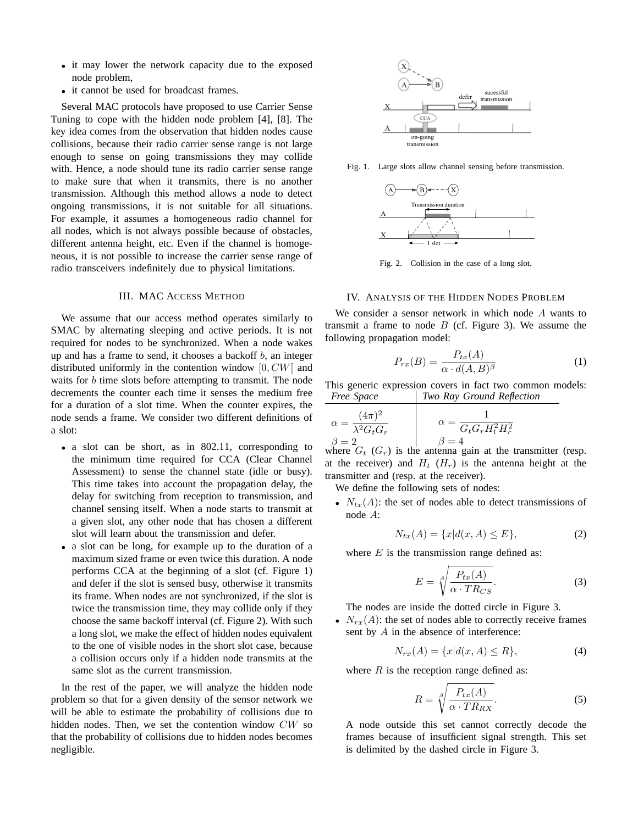- it may lower the network capacity due to the exposed node problem,
- it cannot be used for broadcast frames.

Several MAC protocols have proposed to use Carrier Sense Tuning to cope with the hidden node problem [4], [8]. The key idea comes from the observation that hidden nodes cause collisions, because their radio carrier sense range is not large enough to sense on going transmissions they may collide with. Hence, a node should tune its radio carrier sense range to make sure that when it transmits, there is no another transmission. Although this method allows a node to detect ongoing transmissions, it is not suitable for all situations. For example, it assumes a homogeneous radio channel for all nodes, which is not always possible because of obstacles, different antenna height, etc. Even if the channel is homogeneous, it is not possible to increase the carrier sense range of radio transceivers indefinitely due to physical limitations.

#### III. MAC ACCESS METHOD

We assume that our access method operates similarly to SMAC by alternating sleeping and active periods. It is not required for nodes to be synchronized. When a node wakes up and has a frame to send, it chooses a backoff  $b$ , an integer distributed uniformly in the contention window  $[0, CW]$  and waits for b time slots before attempting to transmit. The node decrements the counter each time it senses the medium free for a duration of a slot time. When the counter expires, the node sends a frame. We consider two different definitions of a slot:

- a slot can be short, as in 802.11, corresponding to the minimum time required for CCA (Clear Channel Assessment) to sense the channel state (idle or busy). This time takes into account the propagation delay, the delay for switching from reception to transmission, and channel sensing itself. When a node starts to transmit at a given slot, any other node that has chosen a different slot will learn about the transmission and defer.
- a slot can be long, for example up to the duration of a maximum sized frame or even twice this duration. A node performs CCA at the beginning of a slot (cf. Figure 1) and defer if the slot is sensed busy, otherwise it transmits its frame. When nodes are not synchronized, if the slot is twice the transmission time, they may collide only if they choose the same backoff interval (cf. Figure 2). With such a long slot, we make the effect of hidden nodes equivalent to the one of visible nodes in the short slot case, because a collision occurs only if a hidden node transmits at the same slot as the current transmission.

In the rest of the paper, we will analyze the hidden node problem so that for a given density of the sensor network we will be able to estimate the probability of collisions due to hidden nodes. Then, we set the contention window CW so that the probability of collisions due to hidden nodes becomes negligible.



Fig. 1. Large slots allow channel sensing before transmission.



Fig. 2. Collision in the case of a long slot.

# IV. ANALYSIS OF THE HIDDEN NODES PROBLEM

We consider a sensor network in which node A wants to transmit a frame to node  $B$  (cf. Figure 3). We assume the following propagation model:

$$
P_{rx}(B) = \frac{P_{tx}(A)}{\alpha \cdot d(A, B)^{\beta}} \tag{1}
$$

This generic expression covers in fact two common models: *Free Space Two Ray Ground Reflection*

| $(4\pi)^2$<br>$\lambda^2 G_t G_r$ | $G_t G_r \overline{H_t^2 H_r^2}$ |
|-----------------------------------|----------------------------------|
| $\mathbf{v} = 2$                  | $\beta = 4$                      |

where  $G_t$  ( $G_r$ ) is the antenna gain at the transmitter (resp. at the receiver) and  $H_t$  ( $H_r$ ) is the antenna height at the transmitter and (resp. at the receiver).

We define the following sets of nodes:

•  $N_{tx}(A)$ : the set of nodes able to detect transmissions of node A:

$$
N_{tx}(A) = \{x | d(x, A) \le E\},\tag{2}
$$

where  $E$  is the transmission range defined as:

$$
E = \sqrt[3]{\frac{P_{tx}(A)}{\alpha \cdot TR_{CS}}}.\tag{3}
$$

The nodes are inside the dotted circle in Figure 3.

•  $N_{rx}(A)$ : the set of nodes able to correctly receive frames sent by A in the absence of interference:

$$
N_{rx}(A) = \{x | d(x, A) \le R\},\tag{4}
$$

where  $R$  is the reception range defined as:

$$
R = \sqrt[3]{\frac{P_{tx}(A)}{\alpha \cdot TR_{RX}}}. \tag{5}
$$

A node outside this set cannot correctly decode the frames because of insufficient signal strength. This set is delimited by the dashed circle in Figure 3.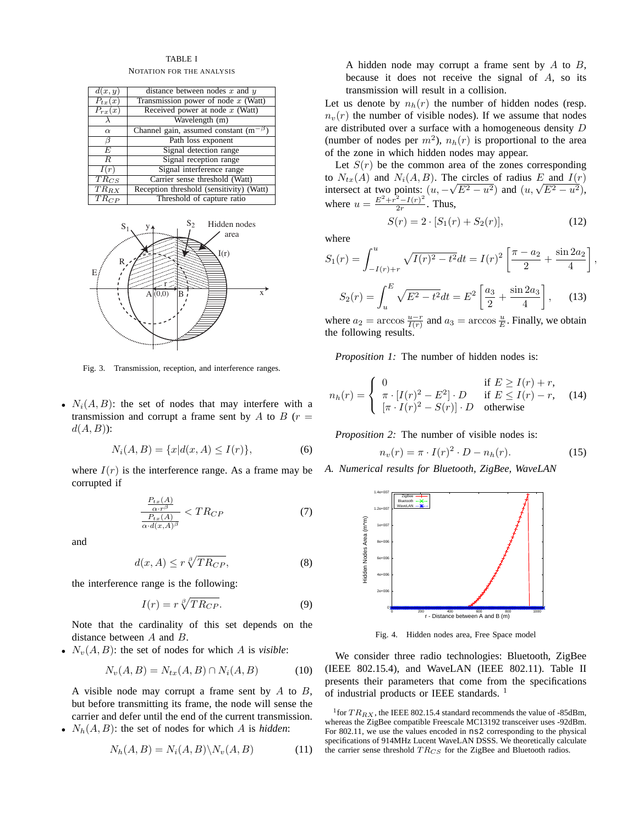## TABLE I

NOTATION FOR THE ANALYSIS

| d(x,y)               | distance between nodes $x$ and $y$            |  |  |
|----------------------|-----------------------------------------------|--|--|
| $P_{tx}(x)$          | Transmission power of node $x$ (Watt)         |  |  |
| $P_{rx}(x)$          | Received power at node $x$ (Watt)             |  |  |
|                      | Wavelength (m)                                |  |  |
| $\alpha$             | Channel gain, assumed constant $(m^{-\beta})$ |  |  |
| β                    | Path loss exponent                            |  |  |
| E                    | Signal detection range                        |  |  |
| R                    | Signal reception range                        |  |  |
| I(r)                 | Signal interference range                     |  |  |
| $TR_{CS}$            | Carrier sense threshold (Watt)                |  |  |
| $\overline{TR}_{RX}$ | Reception threshold (sensitivity) (Watt)      |  |  |
| $TR_{CP}$            | Threshold of capture ratio                    |  |  |



Fig. 3. Transmission, reception, and interference ranges.

•  $N_i(A, B)$ : the set of nodes that may interfere with a transmission and corrupt a frame sent by  $A$  to  $B$  ( $r =$  $d(A, B)$ :

$$
N_i(A, B) = \{x | d(x, A) \le I(r)\},\tag{6}
$$

where  $I(r)$  is the interference range. As a frame may be corrupted if

$$
\frac{\frac{P_{tx}(A)}{\alpha \cdot r^{\beta}}}{\frac{P_{tx}(A)}{\alpha \cdot d(x, A)^{\beta}}} < TR_{CP} \tag{7}
$$

and

$$
d(x, A) \le r \sqrt[\beta]{TR_{CP}}, \tag{8}
$$

the interference range is the following:

$$
I(r) = r \sqrt[{\beta}]{TR_{CP}}.
$$
 (9)

Note that the cardinality of this set depends on the distance between A and B.

•  $N_v(A, B)$ : the set of nodes for which A is *visible*:

$$
N_v(A, B) = N_{tx}(A, B) \cap N_i(A, B)
$$
 (10)

A visible node may corrupt a frame sent by  $A$  to  $B$ , but before transmitting its frame, the node will sense the carrier and defer until the end of the current transmission.

•  $N_h(A, B)$ : the set of nodes for which A is *hidden*:

$$
N_h(A, B) = N_i(A, B) \backslash N_v(A, B)
$$
\n(11)

A hidden node may corrupt a frame sent by  $A$  to  $B$ , because it does not receive the signal of  $A$ , so its transmission will result in a collision.

Let us denote by  $n_h(r)$  the number of hidden nodes (resp.  $n_v(r)$  the number of visible nodes). If we assume that nodes are distributed over a surface with a homogeneous density D (number of nodes per  $m^2$ ),  $n_h(r)$  is proportional to the area of the zone in which hidden nodes may appear.

Let  $S(r)$  be the common area of the zones corresponding to  $N_{tx}(A)$  and  $N_i(A, B)$ . The circles of radius E and  $I(r)$ to  $N_{tx}(A)$  and  $N_i(A, B)$ . The circles of radius E and  $I(r)$ <br>intersect at two points:  $(u, -\sqrt{E^2 - u^2})$  and  $(u, \sqrt{E^2 - u^2})$ , where  $u = \frac{E^2 + r^2 - I(r)^2}{2r}$  $\frac{-I(r)}{2r}$ . Thus,

$$
S(r) = 2 \cdot [S_1(r) + S_2(r)], \tag{12}
$$

,

where

$$
S_1(r) = \int_{-I(r)+r}^{u} \sqrt{I(r)^2 - t^2} dt = I(r)^2 \left[ \frac{\pi - a_2}{2} + \frac{\sin 2a_2}{4} \right]
$$

$$
S_2(r) = \int_{u}^{E} \sqrt{E^2 - t^2} dt = E^2 \left[ \frac{a_3}{2} + \frac{\sin 2a_3}{4} \right], \quad (13)
$$

where  $a_2 = \arccos \frac{u-r}{I(r)}$  and  $a_3 = \arccos \frac{u}{E}$ . Finally, we obtain the following results.

*Proposition 1:* The number of hidden nodes is:

$$
n_h(r) = \begin{cases} 0 & \text{if } E \ge I(r) + r, \\ \pi \cdot [I(r)^2 - E^2] \cdot D & \text{if } E \le I(r) - r, \\ [\pi \cdot I(r)^2 - S(r)] \cdot D & \text{otherwise} \end{cases}
$$
(14)

*Proposition 2:* The number of visible nodes is:

$$
n_v(r) = \pi \cdot I(r)^2 \cdot D - n_h(r). \tag{15}
$$

*A. Numerical results for Bluetooth, ZigBee, WaveLAN*



Fig. 4. Hidden nodes area, Free Space model

We consider three radio technologies: Bluetooth, ZigBee (IEEE 802.15.4), and WaveLAN (IEEE 802.11). Table II presents their parameters that come from the specifications of industrial products or IEEE standards. <sup>1</sup>

<sup>&</sup>lt;sup>1</sup> for  $TR_{RX}$ , the IEEE 802.15.4 standard recommends the value of -85dBm, whereas the ZigBee compatible Freescale MC13192 transceiver uses -92dBm. For 802.11, we use the values encoded in ns2 corresponding to the physical specifications of 914MHz Lucent WaveLAN DSSS. We theoretically calculate the carrier sense threshold  $TR_{CS}$  for the ZigBee and Bluetooth radios.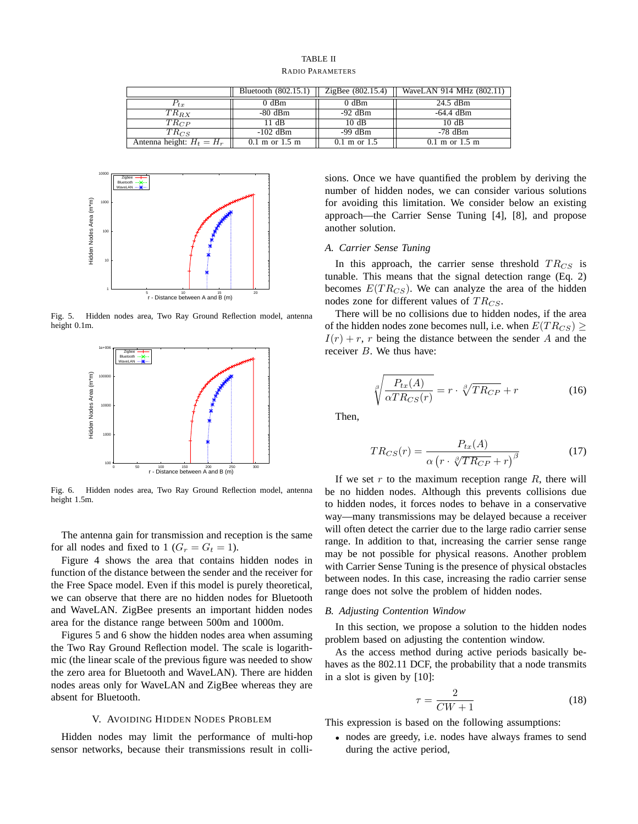RADIO PARAMETERS

|                             | Bluetooth (802.15.1)               | ZigBee (802.15.4)        | WaveLAN 914 MHz (802.11)           |
|-----------------------------|------------------------------------|--------------------------|------------------------------------|
| $P_{tx}$                    | $0$ dBm                            | $0$ dBm                  | 24.5 dBm                           |
| $TR_{RX}$                   | $-80$ dBm                          | $-92$ dBm                | -64.4 dBm                          |
| $TR_{CP}$                   | 11 dB                              | 10 dB                    | 10dB                               |
| $TR_{CS}$                   | $-102$ dBm                         | $-99$ dBm                | $-78$ dBm                          |
| Antenna height: $H_t = H_r$ | $0.1 \text{ m}$ or $1.5 \text{ m}$ | $0.1 \text{ m}$ or $1.5$ | $0.1 \text{ m}$ or $1.5 \text{ m}$ |



Fig. 5. Hidden nodes area, Two Ray Ground Reflection model, antenna height 0.1m.



Fig. 6. Hidden nodes area, Two Ray Ground Reflection model, antenna height 1.5m.

The antenna gain for transmission and reception is the same for all nodes and fixed to 1 ( $G_r = G_t = 1$ ).

Figure 4 shows the area that contains hidden nodes in function of the distance between the sender and the receiver for the Free Space model. Even if this model is purely theoretical, we can observe that there are no hidden nodes for Bluetooth and WaveLAN. ZigBee presents an important hidden nodes area for the distance range between 500m and 1000m.

Figures 5 and 6 show the hidden nodes area when assuming the Two Ray Ground Reflection model. The scale is logarithmic (the linear scale of the previous figure was needed to show the zero area for Bluetooth and WaveLAN). There are hidden nodes areas only for WaveLAN and ZigBee whereas they are absent for Bluetooth.

## V. AVOIDING HIDDEN NODES PROBLEM

Hidden nodes may limit the performance of multi-hop sensor networks, because their transmissions result in collisions. Once we have quantified the problem by deriving the number of hidden nodes, we can consider various solutions for avoiding this limitation. We consider below an existing approach—the Carrier Sense Tuning [4], [8], and propose another solution.

# *A. Carrier Sense Tuning*

In this approach, the carrier sense threshold  $TR_{CS}$  is tunable. This means that the signal detection range (Eq. 2) becomes  $E(T R_{CS})$ . We can analyze the area of the hidden nodes zone for different values of  $TR_{CS}$ .

There will be no collisions due to hidden nodes, if the area of the hidden nodes zone becomes null, i.e. when  $E(T R_{CS}) \ge$  $I(r) + r$ , r being the distance between the sender A and the receiver B. We thus have:

$$
\sqrt[{\beta}]{\frac{P_{tx}(A)}{\alpha TR_{CS}(r)}} = r \cdot \sqrt[{\beta}]{TR_{CP}} + r \tag{16}
$$

Then,

$$
TR_{CS}(r) = \frac{P_{tx}(A)}{\alpha \left(r \cdot \sqrt[g]{TR_{CP}} + r\right)^{\beta}}
$$
(17)

If we set  $r$  to the maximum reception range  $R$ , there will be no hidden nodes. Although this prevents collisions due to hidden nodes, it forces nodes to behave in a conservative way—many transmissions may be delayed because a receiver will often detect the carrier due to the large radio carrier sense range. In addition to that, increasing the carrier sense range may be not possible for physical reasons. Another problem with Carrier Sense Tuning is the presence of physical obstacles between nodes. In this case, increasing the radio carrier sense range does not solve the problem of hidden nodes.

#### *B. Adjusting Contention Window*

In this section, we propose a solution to the hidden nodes problem based on adjusting the contention window.

As the access method during active periods basically behaves as the 802.11 DCF, the probability that a node transmits in a slot is given by [10]:

$$
\tau = \frac{2}{CW + 1} \tag{18}
$$

This expression is based on the following assumptions:

• nodes are greedy, i.e. nodes have always frames to send during the active period,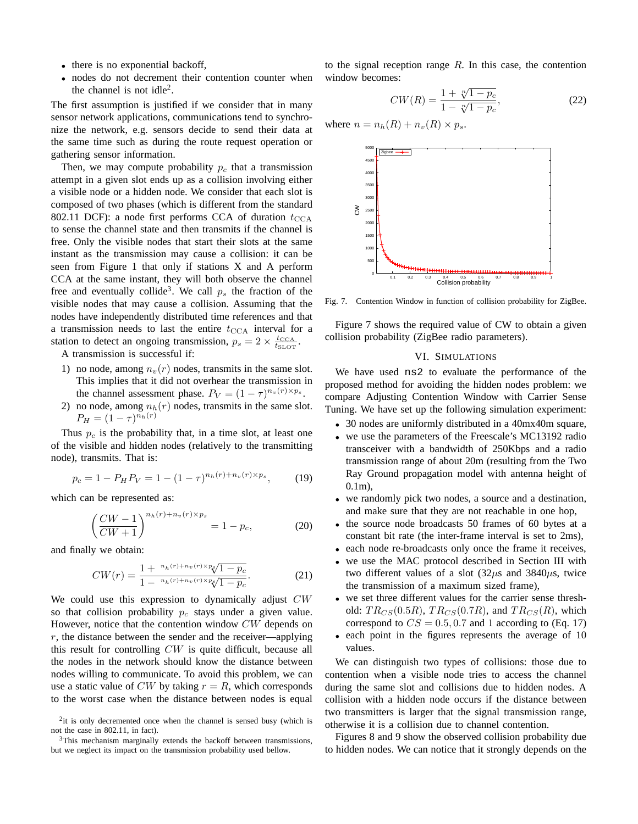- there is no exponential backoff,
- nodes do not decrement their contention counter when the channel is not idle<sup>2</sup>.

The first assumption is justified if we consider that in many sensor network applications, communications tend to synchronize the network, e.g. sensors decide to send their data at the same time such as during the route request operation or gathering sensor information.

Then, we may compute probability  $p_c$  that a transmission attempt in a given slot ends up as a collision involving either a visible node or a hidden node. We consider that each slot is composed of two phases (which is different from the standard 802.11 DCF): a node first performs CCA of duration  $t_{\text{CCA}}$ to sense the channel state and then transmits if the channel is free. Only the visible nodes that start their slots at the same instant as the transmission may cause a collision: it can be seen from Figure 1 that only if stations X and A perform CCA at the same instant, they will both observe the channel free and eventually collide<sup>3</sup>. We call  $p_s$  the fraction of the visible nodes that may cause a collision. Assuming that the nodes have independently distributed time references and that a transmission needs to last the entire  $t_{\text{CCA}}$  interval for a station to detect an ongoing transmission,  $p_s = 2 \times \frac{t_{\text{CCA}}}{t_{\text{SLOT}}}.$ 

A transmission is successful if:

- 1) no node, among  $n_v(r)$  nodes, transmits in the same slot. This implies that it did not overhear the transmission in the channel assessment phase.  $P_V = (1 - \tau)^{n_v(r) \times p_s}$ .
- 2) no node, among  $n_h(r)$  nodes, transmits in the same slot.  $P_H = (1 - \tau)^{n_h(r)}$

Thus  $p_c$  is the probability that, in a time slot, at least one of the visible and hidden nodes (relatively to the transmitting node), transmits. That is:

$$
p_c = 1 - P_H P_V = 1 - (1 - \tau)^{n_h(r) + n_v(r) \times p_s},\tag{19}
$$

which can be represented as:

$$
\left(\frac{CW - 1}{CW + 1}\right)^{n_h(r) + n_v(r) \times p_s} = 1 - p_c,
$$
\n(20)

and finally we obtain:

$$
CW(r) = \frac{1 + \binom{n_h(r) + n_v(r) \times p_s}{1 - \binom{n_h(r) + n_v(r) \times p_s}{1 - p_c}}.
$$
\n(21)

We could use this expression to dynamically adjust  $CW$ so that collision probability  $p_c$  stays under a given value. However, notice that the contention window CW depends on  $r$ , the distance between the sender and the receiver—applying this result for controlling CW is quite difficult, because all the nodes in the network should know the distance between nodes willing to communicate. To avoid this problem, we can use a static value of CW by taking  $r = R$ , which corresponds to the worst case when the distance between nodes is equal

to the signal reception range  $R$ . In this case, the contention window becomes:

$$
CW(R) = \frac{1 + \sqrt[n]{1 - p_c}}{1 - \sqrt[n]{1 - p_c}},
$$
\n(22)

where  $n = n_h(R) + n_v(R) \times p_s$ .



Fig. 7. Contention Window in function of collision probability for ZigBee.

Figure 7 shows the required value of CW to obtain a given collision probability (ZigBee radio parameters).

#### VI. SIMULATIONS

We have used ns2 to evaluate the performance of the proposed method for avoiding the hidden nodes problem: we compare Adjusting Contention Window with Carrier Sense Tuning. We have set up the following simulation experiment:

- 30 nodes are uniformly distributed in a 40mx40m square,
- we use the parameters of the Freescale's MC13192 radio transceiver with a bandwidth of 250Kbps and a radio transmission range of about 20m (resulting from the Two Ray Ground propagation model with antenna height of 0.1m),
- we randomly pick two nodes, a source and a destination, and make sure that they are not reachable in one hop,
- the source node broadcasts 50 frames of 60 bytes at a constant bit rate (the inter-frame interval is set to 2ms),
- each node re-broadcasts only once the frame it receives,
- we use the MAC protocol described in Section III with two different values of a slot  $(32\mu s)$  and  $3840\mu s$ , twice the transmission of a maximum sized frame),
- we set three different values for the carrier sense threshold:  $TR_{CS}(0.5R)$ ,  $TR_{CS}(0.7R)$ , and  $TR_{CS}(R)$ , which correspond to  $CS = 0.5, 0.7$  and 1 according to (Eq. 17)
- each point in the figures represents the average of 10 values.

We can distinguish two types of collisions: those due to contention when a visible node tries to access the channel during the same slot and collisions due to hidden nodes. A collision with a hidden node occurs if the distance between two transmitters is larger that the signal transmission range, otherwise it is a collision due to channel contention.

Figures 8 and 9 show the observed collision probability due to hidden nodes. We can notice that it strongly depends on the

<sup>&</sup>lt;sup>2</sup>it is only decremented once when the channel is sensed busy (which is not the case in 802.11, in fact).

<sup>&</sup>lt;sup>3</sup>This mechanism marginally extends the backoff between transmissions, but we neglect its impact on the transmission probability used bellow.